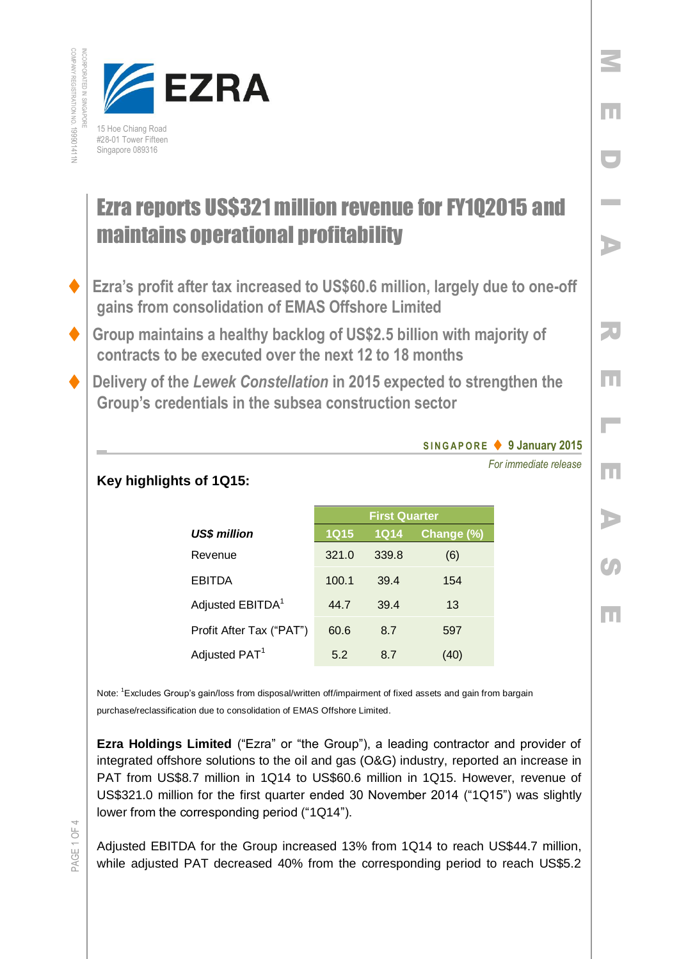

## Ezra reports US\$321 million revenue for FY1Q2015 and maintains operational profitability

- **Ezra's profit after tax increased to US\$60.6 million, largely due to one-off gains from consolidation of EMAS Offshore Limited**
- **Group maintains a healthy backlog of US\$2.5 billion with majority of contracts to be executed over the next 12 to 18 months**
- **Delivery of the** *Lewek Constellation* **in 2015 expected to strengthen the Group's credentials in the subsea construction sector**

## **S I N G A P O R E 9 January 2015**

*For immediate release*

M

E

D

I

A

R

E

L

E

A

 $\mathcal{C}$ 

E

## **Key highlights of 1Q15:**

|                              | <b>First Quarter</b> |       |            |
|------------------------------|----------------------|-------|------------|
| US\$ million                 | <b>1Q15</b>          | 1014  | Change (%) |
| Revenue                      | 321.0                | 339.8 | (6)        |
| <b>EBITDA</b>                | 100.1                | 39.4  | 154        |
| Adjusted EBITDA <sup>1</sup> | 44.7                 | 39.4  | 13         |
| Profit After Tax ("PAT")     | 60.6                 | 8.7   | 597        |
| Adjusted PAT <sup>1</sup>    | 5.2                  | 87    | (40)       |

Note: <sup>1</sup>Excludes Group's gain/loss from disposal/written off/impairment of fixed assets and gain from bargain purchase/reclassification due to consolidation of EMAS Offshore Limited.

**Ezra Holdings Limited** ("Ezra" or "the Group"), a leading contractor and provider of integrated offshore solutions to the oil and gas (O&G) industry, reported an increase in PAT from US\$8.7 million in 1Q14 to US\$60.6 million in 1Q15. However, revenue of US\$321.0 million for the first quarter ended 30 November 2014 ("1Q15") was slightly lower from the corresponding period ("1Q14").

Adjusted EBITDA for the Group increased 13% from 1Q14 to reach US\$44.7 million, while adjusted PAT decreased 40% from the corresponding period to reach US\$5.2

PAGE 1 OF 4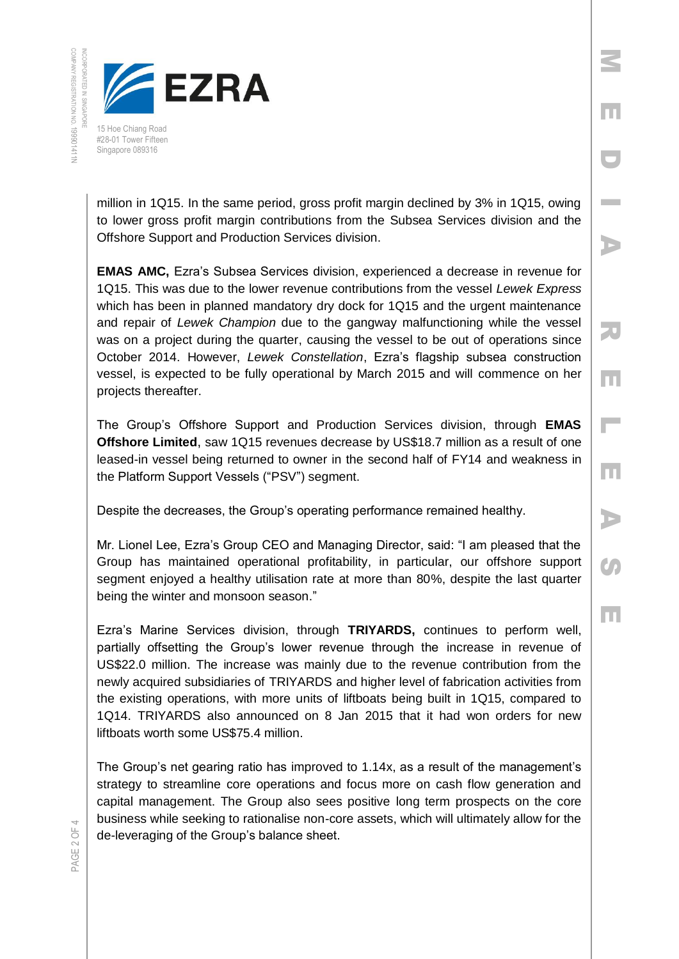

million in 1Q15. In the same period, gross profit margin declined by 3% in 1Q15, owing to lower gross profit margin contributions from the Subsea Services division and the Offshore Support and Production Services division.

M

E

D

I

A

R

E

L

E

A

**C** 

E

**EMAS AMC,** Ezra's Subsea Services division, experienced a decrease in revenue for 1Q15. This was due to the lower revenue contributions from the vessel *Lewek Express* which has been in planned mandatory dry dock for 1Q15 and the urgent maintenance and repair of *Lewek Champion* due to the gangway malfunctioning while the vessel was on a project during the quarter, causing the vessel to be out of operations since October 2014. However, *Lewek Constellation*, Ezra's flagship subsea construction vessel, is expected to be fully operational by March 2015 and will commence on her projects thereafter.

The Group's Offshore Support and Production Services division, through **EMAS Offshore Limited**, saw 1Q15 revenues decrease by US\$18.7 million as a result of one leased-in vessel being returned to owner in the second half of FY14 and weakness in the Platform Support Vessels ("PSV") segment.

Despite the decreases, the Group's operating performance remained healthy.

Mr. Lionel Lee, Ezra's Group CEO and Managing Director, said: "I am pleased that the Group has maintained operational profitability, in particular, our offshore support segment enjoyed a healthy utilisation rate at more than 80%, despite the last quarter being the winter and monsoon season."

Ezra's Marine Services division, through **TRIYARDS,** continues to perform well, partially offsetting the Group's lower revenue through the increase in revenue of US\$22.0 million. The increase was mainly due to the revenue contribution from the newly acquired subsidiaries of TRIYARDS and higher level of fabrication activities from the existing operations, with more units of liftboats being built in 1Q15, compared to 1Q14. TRIYARDS also announced on 8 Jan 2015 that it had won orders for new liftboats worth some US\$75.4 million.

The Group's net gearing ratio has improved to 1.14x, as a result of the management's strategy to streamline core operations and focus more on cash flow generation and capital management. The Group also sees positive long term prospects on the core business while seeking to rationalise non-core assets, which will ultimately allow for the de-leveraging of the Group's balance sheet.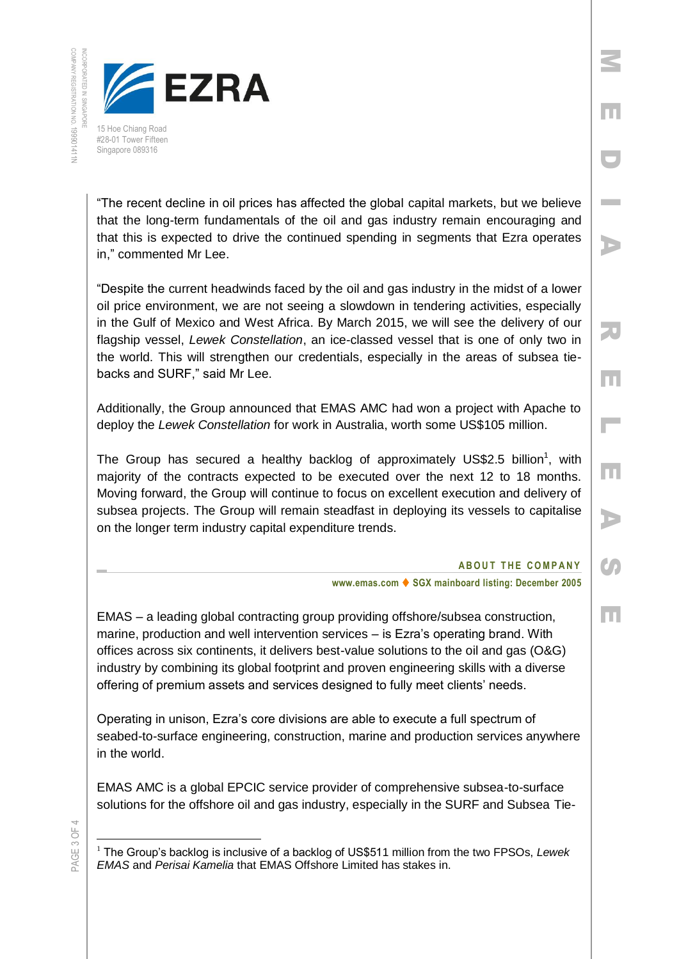

#28-01 Tower Fifteen Singapore 089316

"The recent decline in oil prices has affected the global capital markets, but we believe that the long-term fundamentals of the oil and gas industry remain encouraging and that this is expected to drive the continued spending in segments that Ezra operates in," commented Mr Lee.

"Despite the current headwinds faced by the oil and gas industry in the midst of a lower oil price environment, we are not seeing a slowdown in tendering activities, especially in the Gulf of Mexico and West Africa. By March 2015, we will see the delivery of our flagship vessel, *Lewek Constellation*, an ice-classed vessel that is one of only two in the world. This will strengthen our credentials, especially in the areas of subsea tiebacks and SURF," said Mr Lee.

Additionally, the Group announced that EMAS AMC had won a project with Apache to deploy the *Lewek Constellation* for work in Australia, worth some US\$105 million.

The Group has secured a healthy backlog of approximately US\$2.5 billion<sup>1</sup>, with majority of the contracts expected to be executed over the next 12 to 18 months. Moving forward, the Group will continue to focus on excellent execution and delivery of subsea projects. The Group will remain steadfast in deploying its vessels to capitalise on the longer term industry capital expenditure trends.

## **ABOUT THE COMPANY**

M

E

D

I

A

R

E

 $\mathbb{R}^{\mathbb{Z}}$ 

E

A

**C** 

E

**www.emas.com ♦ SGX mainboard listing: December 2005** 

EMAS – a leading global contracting group providing offshore/subsea construction, marine, production and well intervention services – is Ezra's operating brand. With offices across six continents, it delivers best-value solutions to the oil and gas (O&G) industry by combining its global footprint and proven engineering skills with a diverse offering of premium assets and services designed to fully meet clients' needs.

Operating in unison, Ezra's core divisions are able to execute a full spectrum of seabed-to-surface engineering, construction, marine and production services anywhere in the world.

EMAS AMC is a global EPCIC service provider of comprehensive subsea-to-surface solutions for the offshore oil and gas industry, especially in the SURF and Subsea Tie-

PAGE 3 OF 4

 $\overline{a}$ <sup>1</sup> The Group's backlog is inclusive of a backlog of US\$511 million from the two FPSOs, *Lewek EMAS* and *Perisai Kamelia* that EMAS Offshore Limited has stakes in.